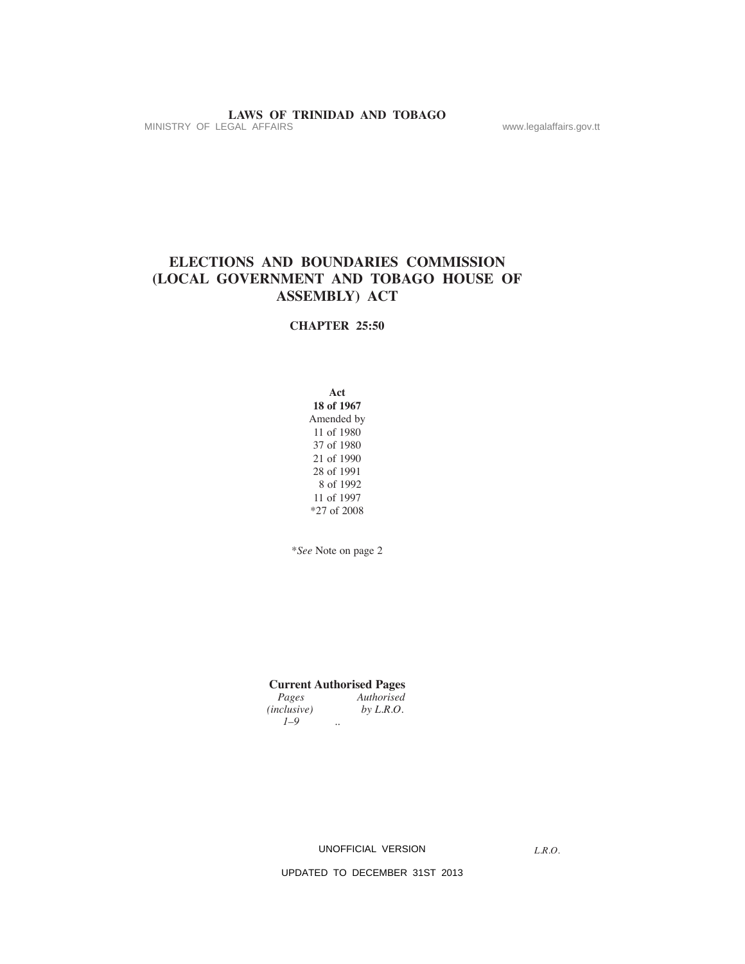# **elections and boundaries commission (local government and tobago house of assembly) act**

#### **chaPter 25:50**

**act**

**18 of 1967** Amended by 11 of 1980 37 of 1980 21 of 1990 28 of 1991 8 of 1992 11 of 1997 \*27 of 2008

\**See* Note on page 2

**Current Authorised Pages**<br>*Pages Authorised Authorised*<br>*by L.R.O. (inclusive)* 

 *1–9 ..* 

UNOFFICIAL VERSION

*L.R.O.*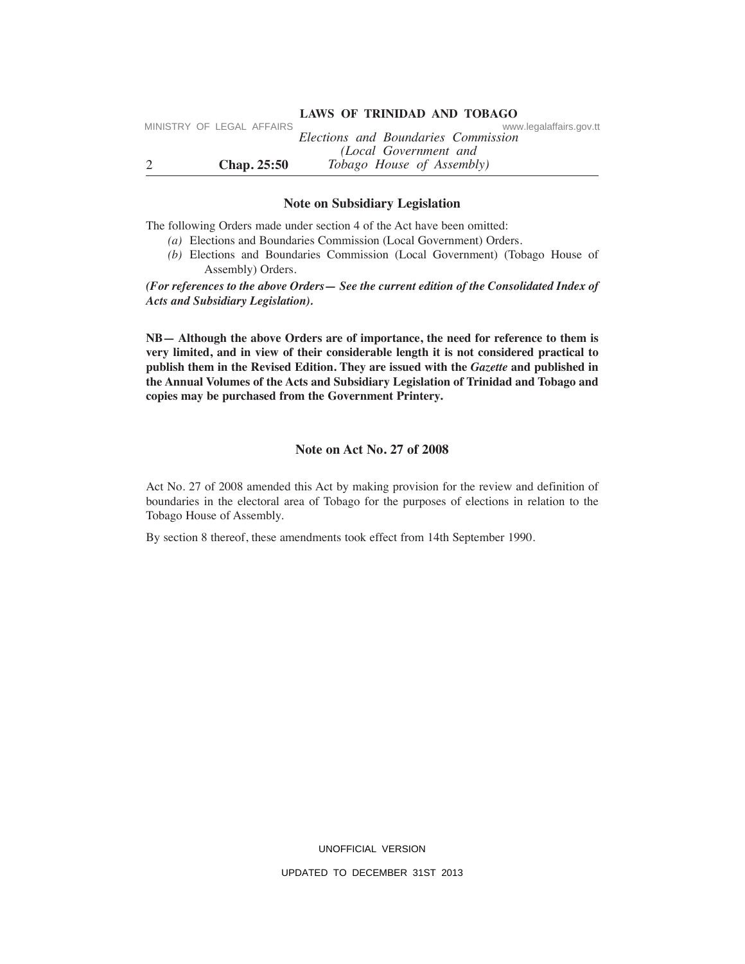#### 2 **chap. 25:50** *Elections and Boundaries Commission (Local Government and Tobago House of Assembly)* **laWs of trinidad and tobago** MINISTRY OF LEGAL AFFAIRS

### **note on subsidiary legislation**

The following Orders made under section 4 of the Act have been omitted:

- *(a)* Elections and Boundaries Commission (Local Government) Orders.
- *(b)* Elections and Boundaries Commission (Local Government) (Tobago House of Assembly) Orders.

*(For references to the above Orders— See the current edition of the Consolidated Index of Acts and Subsidiary Legislation).*

**NB**— Although the above Orders are of importance, the need for reference to them is **very limited, and in view of their considerable length it is not considered practical to** publish them in the Revised Edition. They are issued with the *Gazette* and published in **the annual volumes of the acts and subsidiary legislation of trinidad and tobago and copies may be purchased from the government Printery.**

### **note on act no. 27 of 2008**

Act No. 27 of 2008 amended this Act by making provision for the review and definition of boundaries in the electoral area of Tobago for the purposes of elections in relation to the Tobago House of Assembly.

By section 8 thereof, these amendments took effect from 14th September 1990.

UNOFFICIAL VERSION UPDATED TO DECEMBER 31ST 2013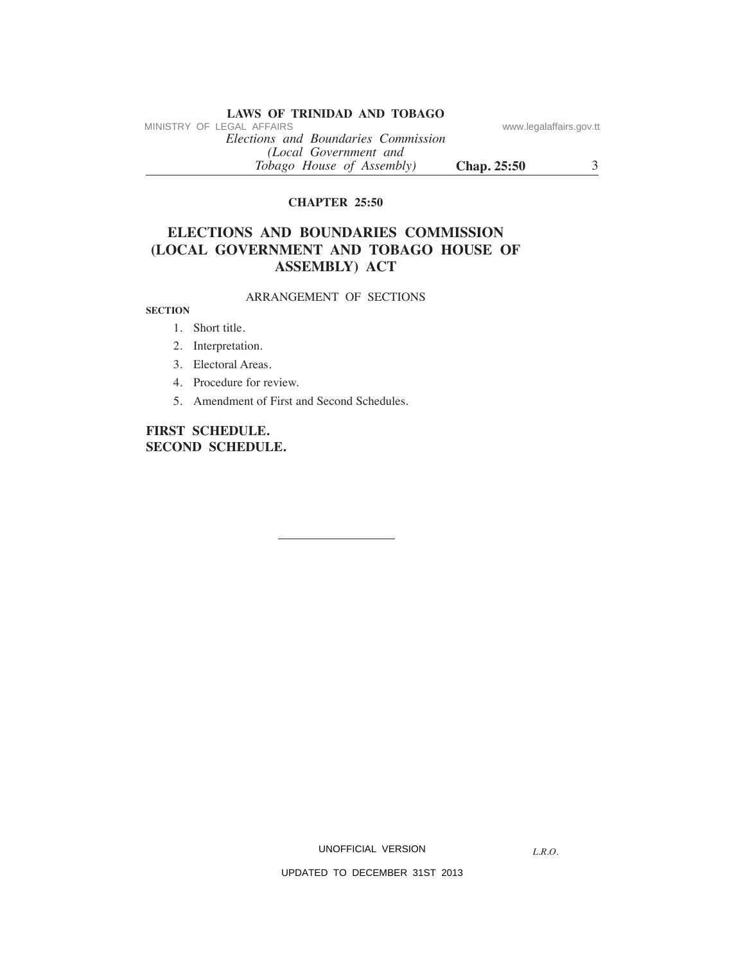*Elections and Boundaries Commission (Local Government and Tobago House of Assembly)* **chap. 25:50** 3 MINISTRY OF LEGAL AFFAIRS www.legalaffairs.gov.tt

### **chaPter 25:50**

# **elections and boundaries commission (local government and tobago house of assembly) act**

### ARRANGEMENT OF SECTIONS

**section**

- 1. Short title.
- 2. Interpretation.
- 3. Electoral Areas.
- 4. Procedure for review.
- 5. Amendment of First and Second Schedules.

# **first schedule. second schedule.**

UNOFFICIAL VERSION

*L.R.O.*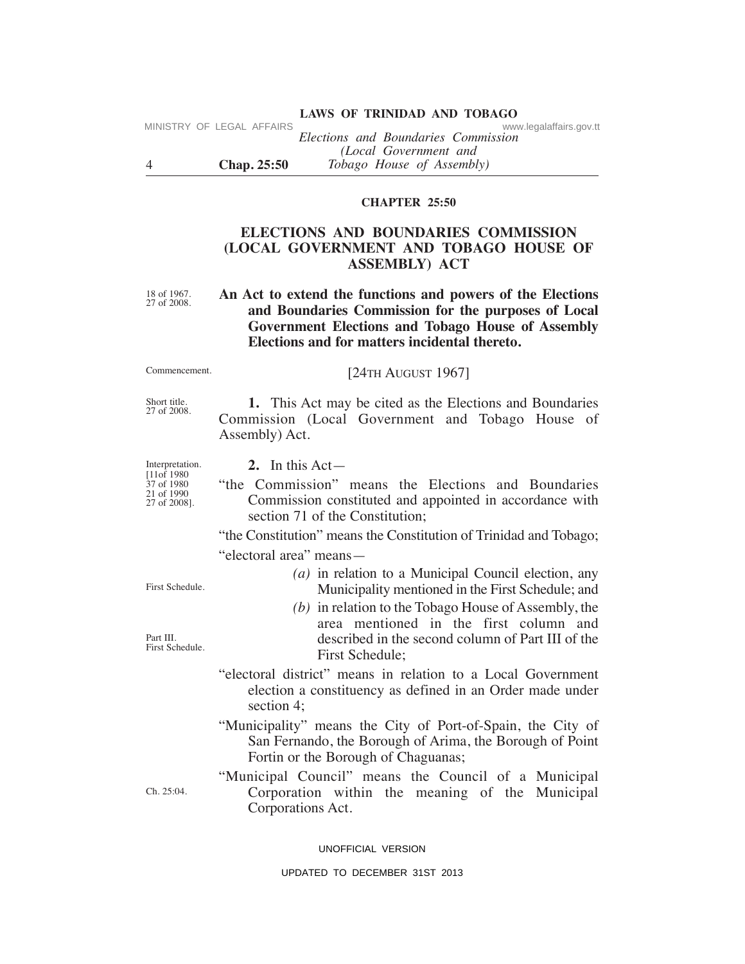|          | IVIINISTRI UF LEGAL AFFAIRS | www.legalafialis.gov.tt<br>Elections and Boundaries Commission |
|----------|-----------------------------|----------------------------------------------------------------|
|          |                             | (Local Government and                                          |
| $\Delta$ | <b>Chap.</b> 25:50          | <i>Tobago House of Assembly</i> )                              |

#### **chaPter 25:50**

# **elections and boundaries commission (local government and tobago house of assembly) act**

18 of 1967. 27 of 2008. An Act to extend the functions and powers of the Elections **and boundaries commission for the purposes of local government elections and tobago house of assembly elections and for matters incidental thereto.**

#### [24TH AuGuST 1967]

Short title. 27 of 2008.

Commencement.

MINISTRY OF LEGAL AFFAIRS

 **1.** This Act may be cited as the Elections and Boundaries Commission (Local Government and Tobago House of Assembly) Act.

Interpretation. [11of 1980 37 of 1980 21 of 1990 27 of 2008].

 **2.** In this Act—

"the Commission" means the Elections and Boundaries Commission constituted and appointed in accordance with section 71 of the Constitution;

"the Constitution" means the Constitution of Trinidad and Tobago; "electoral area" means—

> *(a)* in relation to a Municipal Council election, any Municipality mentioned in the First Schedule; and

 *(b)* in relation to the Tobago House of Assembly, the area mentioned in the first column and described in the second column of Part III of the First Schedule;

Ch. 25:04.

"electoral district" means in relation to a Local Government election a constituency as defined in an Order made under section 4;

"Municipality" means the City of Port-of-Spain, the City of San Fernando, the Borough of Arima, the Borough of Point Fortin or the Borough of Chaguanas;

"Municipal Council" means the Council of a Municipal Corporation within the meaning of the Municipal Corporations Act.

UNOFFICIAL VERSION

UPDATED TO DECEMBER 31ST 2013

First Schedule.

Part III. First Schedule.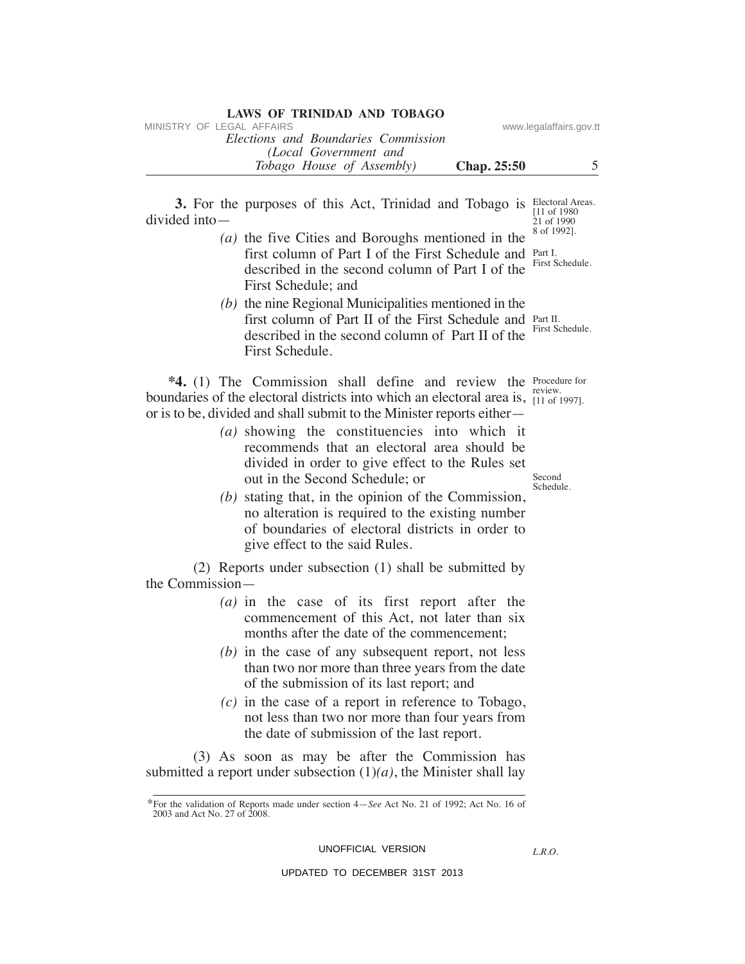| <b>LAWS OF TRINIDAD AND TOBAGO</b>  |                         |  |
|-------------------------------------|-------------------------|--|
| MINISTRY OF LEGAL AFFAIRS           | www.legalaffairs.gov.tt |  |
| Elections and Boundaries Commission |                         |  |
| (Local Government and               |                         |  |
| <i>Tobago House of Assembly</i> )   | <b>Chap.</b> 25:50      |  |

**3.** For the purposes of this Act, Trinidad and Tobago is Electoral Areas. divided into—

- *(a)* the five Cities and Boroughs mentioned in the first column of Part I of the First Schedule and Part I. described in the second column of Part I of the First Schedule; and
- *(b)* the nine Regional Municipalities mentioned in the first column of Part II of the First Schedule and Part II. described in the second column of Part II of the <sup>First Schedule.</sup> First Schedule.

**\*4.** (1) The Commission shall define and review the **Procedure** for boundaries of the electoral districts into which an electoral area is,  $\frac{1}{11}$  of or is to be, divided and shall submit to the Minister reports either—

- *(a)* showing the constituencies into which it recommends that an electoral area should be divided in order to give effect to the Rules set out in the Second Schedule; or
- *(b)* stating that, in the opinion of the Commission, no alteration is required to the existing number of boundaries of electoral districts in order to give effect to the said Rules.

 (2) Reports under subsection (1) shall be submitted by the Commission—

- *(a)* in the case of its first report after the commencement of this Act, not later than six months after the date of the commencement;
- *(b)* in the case of any subsequent report, not less than two nor more than three years from the date of the submission of its last report; and
- *(c)* in the case of a report in reference to Tobago, not less than two nor more than four years from the date of submission of the last report.

 (3) As soon as may be after the Commission has submitted a report under subsection  $(1)(a)$ , the Minister shall lay

UNOFFICIAL VERSION

*L.R.O.* 

UPDATED TO DECEMBER 31ST 2013

[11 of 1980 21 of 1990 8 of 1992].

First Schedule.

[11 of 1997].

**Second** Schedule.

<sup>\*</sup>For the validation of Reports made under section 4—*See* Act No. 21 of 1992; Act No. 16 of 2003 and Act No. 27 of 2008.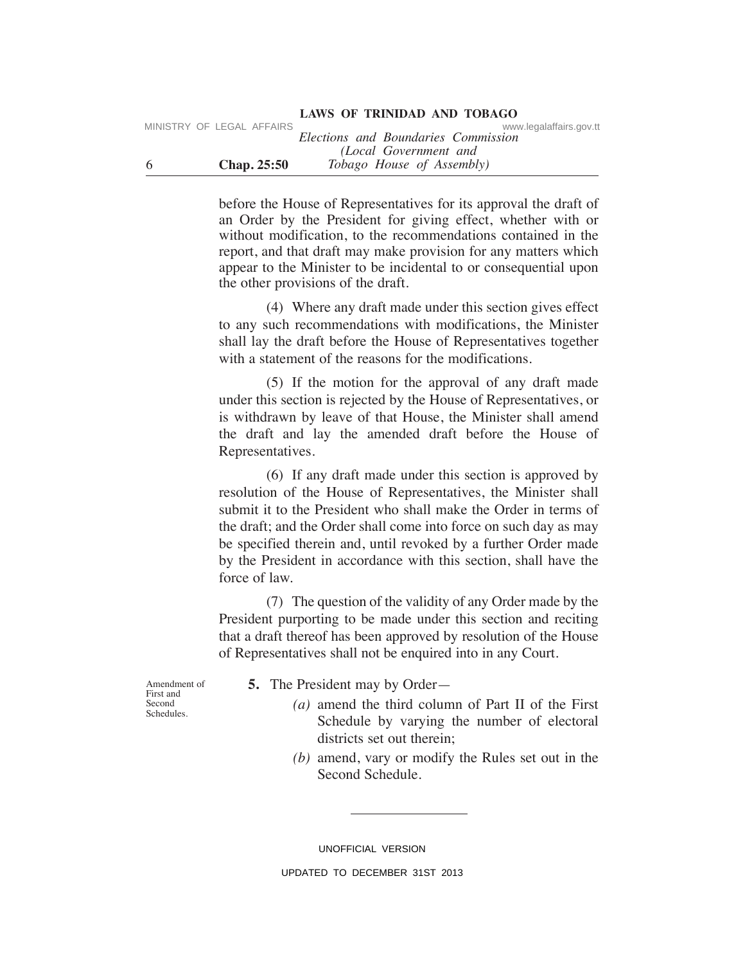|    | MINISTRY OF LEGAL AFFAIRS |                    | www.legalaffairs.gov.tt             |
|----|---------------------------|--------------------|-------------------------------------|
|    |                           |                    | Elections and Boundaries Commission |
|    |                           |                    | (Local Government and               |
| -6 |                           | <b>Chap.</b> 25:50 | <i>Tobago House of Assembly</i> )   |

before the House of Representatives for its approval the draft of an Order by the President for giving effect, whether with or without modification, to the recommendations contained in the report, and that draft may make provision for any matters which appear to the Minister to be incidental to or consequential upon the other provisions of the draft.

 (4) Where any draft made under this section gives effect to any such recommendations with modifications, the Minister shall lay the draft before the House of Representatives together with a statement of the reasons for the modifications.

 (5) If the motion for the approval of any draft made under this section is rejected by the House of Representatives, or is withdrawn by leave of that House, the Minister shall amend the draft and lay the amended draft before the House of Representatives.

 (6) If any draft made under this section is approved by resolution of the House of Representatives, the Minister shall submit it to the President who shall make the Order in terms of the draft; and the Order shall come into force on such day as may be specified therein and, until revoked by a further Order made by the President in accordance with this section, shall have the force of law.

 (7) The question of the validity of any Order made by the President purporting to be made under this section and reciting that a draft thereof has been approved by resolution of the House of Representatives shall not be enquired into in any Court.

Amendment of First and Second Schedules.

- **5.** The President may by Order—
	- *(a)* amend the third column of Part II of the First Schedule by varying the number of electoral districts set out therein;
	- *(b)* amend, vary or modify the Rules set out in the Second Schedule.

UNOFFICIAL VERSION UPDATED TO DECEMBER 31ST 2013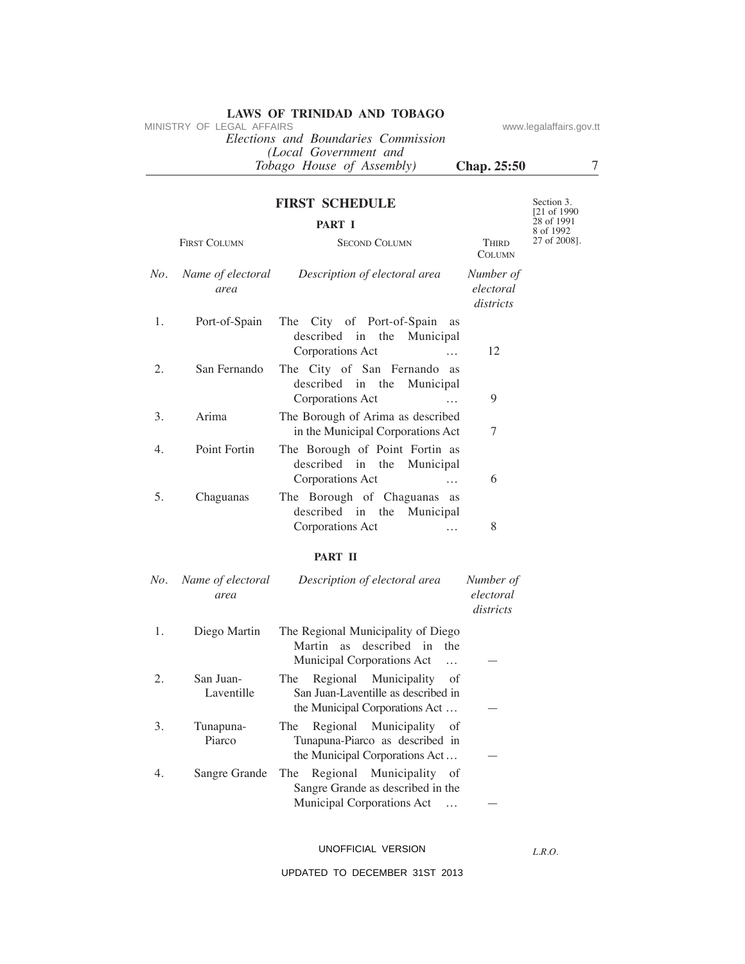*Elections and Boundaries Commission (Local Government and Tobago House of Assembly)* **chap. 25:50** 7 MINISTRY OF LEGAL AFFAIRS www.legalaffairs.gov.tt

Section 3. [21 of 1990 28 of 1991

### **first schedule**

### **Part i**

|     |                           |                                                                                              |                                     | 8 of 1992    |
|-----|---------------------------|----------------------------------------------------------------------------------------------|-------------------------------------|--------------|
|     | <b>FIRST COLUMN</b>       | <b>SECOND COLUMN</b>                                                                         | <b>THIRD</b><br><b>COLUMN</b>       | 27 of 2008]. |
| No. | Name of electoral<br>area | Description of electoral area                                                                | Number of<br>electoral<br>districts |              |
| 1.  | Port-of-Spain             | The City of Port-of-Spain as<br>described in the Municipal<br>Corporations Act               | 12                                  |              |
| 2.  | San Fernando              | The City of San Fernando as<br>described in the Municipal<br>Corporations Act                | 9                                   |              |
| 3.  | Arima                     | The Borough of Arima as described<br>in the Municipal Corporations Act                       | 7                                   |              |
| 4.  | Point Fortin              | The Borough of Point Fortin as<br>described in the Municipal<br>Corporations Act<br>$\cdots$ | 6                                   |              |
| 5.  | Chaguanas                 | The Borough of Chaguanas as<br>described in the Municipal<br>Corporations Act<br>$\cdots$    | 8                                   |              |

# **Part ii**

| No. | Name of electoral<br>area | Description of electoral area                                                                                   | Number of<br>electoral<br>districts |
|-----|---------------------------|-----------------------------------------------------------------------------------------------------------------|-------------------------------------|
| 1.  | Diego Martin              | The Regional Municipality of Diego<br>Martin as described in<br>the<br>Municipal Corporations Act<br>$\dddotsc$ |                                     |
| 2.  | San Juan-<br>Laventille   | Regional Municipality<br>of<br>The T<br>San Juan-Laventille as described in<br>the Municipal Corporations Act   |                                     |
| 3.  | Tunapuna-<br>Piarco       | Regional Municipality of<br>The<br>Tunapuna-Piarco as described in<br>the Municipal Corporations Act            |                                     |
| 4.  | Sangre Grande             | The Regional Municipality of<br>Sangre Grande as described in the<br>Municipal Corporations Act                 |                                     |

UNOFFICIAL VERSION

*L.R.O.*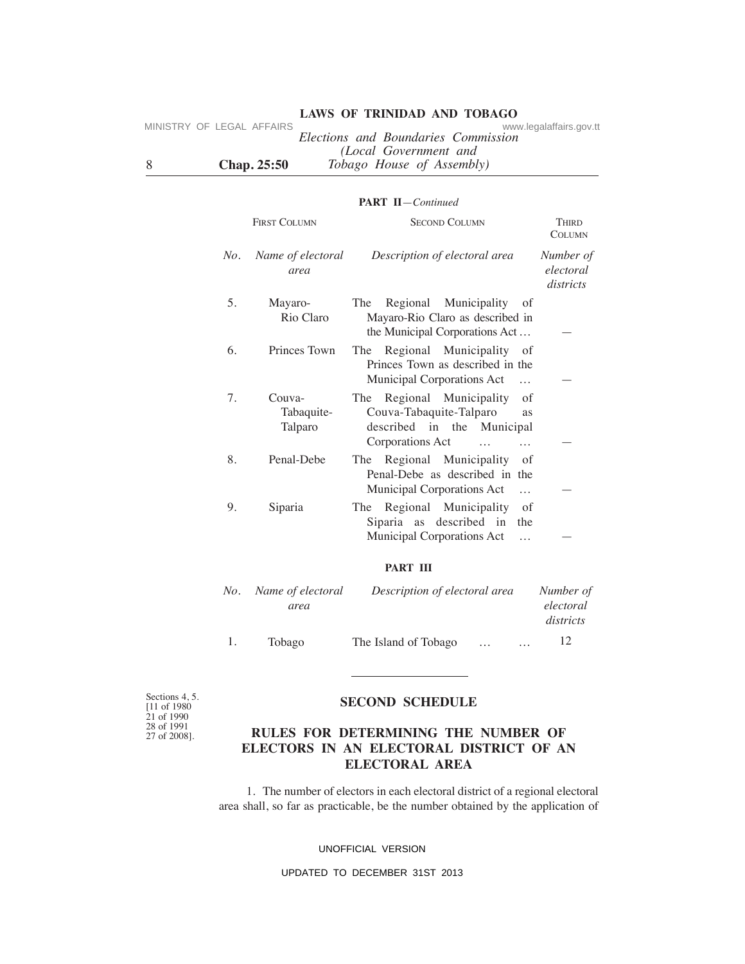| MINISTRY OF LEGAL AFFAIRS |  |                    | www.legalaffairs.gov.tt             |
|---------------------------|--|--------------------|-------------------------------------|
|                           |  |                    | Elections and Boundaries Commission |
|                           |  |                    | (Local Government and               |
| -8                        |  | <b>Chap.</b> 25:50 | <i>Tobago House of Assembly</i> )   |

#### **Part ii**—*Continued*

|     | <b>FIRST COLUMN</b>             | <b>SECOND COLUMN</b>                                                                                                                       | Third<br><b>COLUMN</b>              |
|-----|---------------------------------|--------------------------------------------------------------------------------------------------------------------------------------------|-------------------------------------|
| No. | Name of electoral<br>area       | Description of electoral area                                                                                                              | Number of<br>electoral<br>districts |
| 5.  | Mayaro-<br>Rio Claro            | Regional Municipality<br>The<br>οf<br>Mayaro-Rio Claro as described in<br>the Municipal Corporations Act                                   |                                     |
| 6.  | Princes Town                    | Regional Municipality of<br>The<br>Princes Town as described in the<br>Municipal Corporations Act<br>$\cdots$                              |                                     |
| 7.  | Couva-<br>Tabaquite-<br>Talparo | The Regional Municipality<br>of<br>Couva-Tabaquite-Talparo<br>as<br>described in the Municipal<br>Corporations Act<br>$\cdots$<br>$\cdots$ |                                     |
| 8.  | Penal-Debe                      | Regional Municipality<br>The<br>of<br>Penal-Debe as described in the<br>Municipal Corporations Act<br>$\cdots$                             |                                     |
| 9.  | Siparia                         | Regional Municipality<br>of<br>The<br>Siparia as described in<br>the<br>Municipal Corporations Act                                         |                                     |

#### **Part iii**

|    | No. Name of electoral | Description of electoral area |          | Number of              |
|----|-----------------------|-------------------------------|----------|------------------------|
|    | area                  |                               |          | electoral<br>districts |
| 1. | Tobago                | The Island of Tobago          | $\cdots$ | 12<br>$\cdots$         |

Sections 4, 5. [11 of 1980 21 of 1990 28 of 1991 27 of 2008].

### **second schedule**

# **rules for determining the number of electors in an electoral district of an electoral area**

 1. The number of electors in each electoral district of a regional electoral area shall, so far as practicable, be the number obtained by the application of

#### UNOFFICIAL VERSION